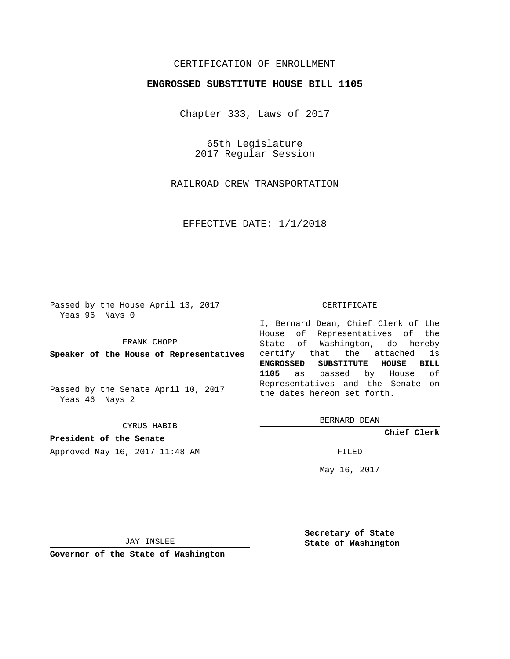## CERTIFICATION OF ENROLLMENT

### **ENGROSSED SUBSTITUTE HOUSE BILL 1105**

Chapter 333, Laws of 2017

65th Legislature 2017 Regular Session

RAILROAD CREW TRANSPORTATION

EFFECTIVE DATE: 1/1/2018

Passed by the House April 13, 2017 Yeas 96 Nays 0

FRANK CHOPP

**Speaker of the House of Representatives**

Passed by the Senate April 10, 2017 Yeas 46 Nays 2

CYRUS HABIB

**President of the Senate** Approved May 16, 2017 11:48 AM FILED

#### CERTIFICATE

I, Bernard Dean, Chief Clerk of the House of Representatives of the State of Washington, do hereby certify that the attached is **ENGROSSED SUBSTITUTE HOUSE BILL 1105** as passed by House of Representatives and the Senate on the dates hereon set forth.

BERNARD DEAN

**Chief Clerk**

May 16, 2017

JAY INSLEE

**Governor of the State of Washington**

**Secretary of State State of Washington**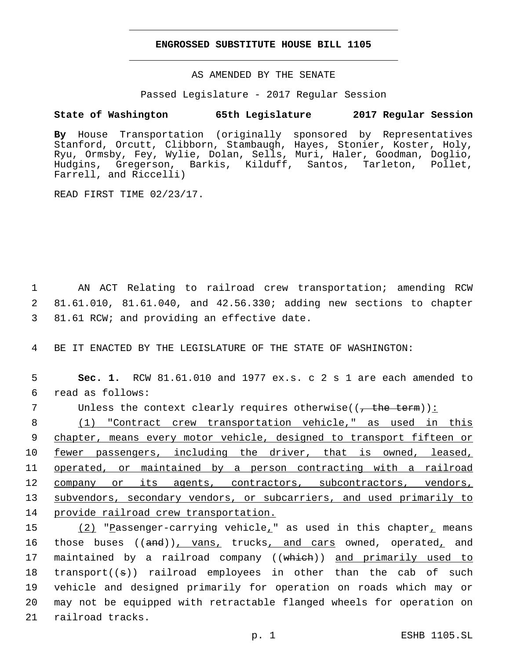#### **ENGROSSED SUBSTITUTE HOUSE BILL 1105**

AS AMENDED BY THE SENATE

Passed Legislature - 2017 Regular Session

# **State of Washington 65th Legislature 2017 Regular Session**

**By** House Transportation (originally sponsored by Representatives Stanford, Orcutt, Clibborn, Stambaugh, Hayes, Stonier, Koster, Holy, Ryu, Ormsby, Fey, Wylie, Dolan, Sells, Muri, Haler, Goodman, Doglio, Hudgins, Gregerson, Barkis, Kilduff, Santos, Tarleton, Pollet, Farrell, and Riccelli)

READ FIRST TIME 02/23/17.

1 AN ACT Relating to railroad crew transportation; amending RCW 2 81.61.010, 81.61.040, and 42.56.330; adding new sections to chapter 3 81.61 RCW; and providing an effective date.

4 BE IT ENACTED BY THE LEGISLATURE OF THE STATE OF WASHINGTON:

5 **Sec. 1.** RCW 81.61.010 and 1977 ex.s. c 2 s 1 are each amended to read as follows:6

7 Unless the context clearly requires otherwise( $(\tau + \text{the term})$ ):

8 (1) "Contract crew transportation vehicle," as used in this 9 chapter, means every motor vehicle, designed to transport fifteen or 10 fewer passengers, including the driver, that is owned, leased, 11 <u>operated, or maintained by a person contracting with a railroad</u> 12 company or its agents, contractors, subcontractors, vendors, 13 subvendors, secondary vendors, or subcarriers, and used primarily to 14 provide railroad crew transportation.

15 (2) "Passenger-carrying vehicle<sub>r</sub>" as used in this chapter<sub>r</sub> means 16 those buses ((and)), vans, trucks, and cars owned, operated, and 17 maintained by a railroad company ((which)) and primarily used to 18 transport((s)) railroad employees in other than the cab of such 19 vehicle and designed primarily for operation on roads which may or 20 may not be equipped with retractable flanged wheels for operation on 21 railroad tracks.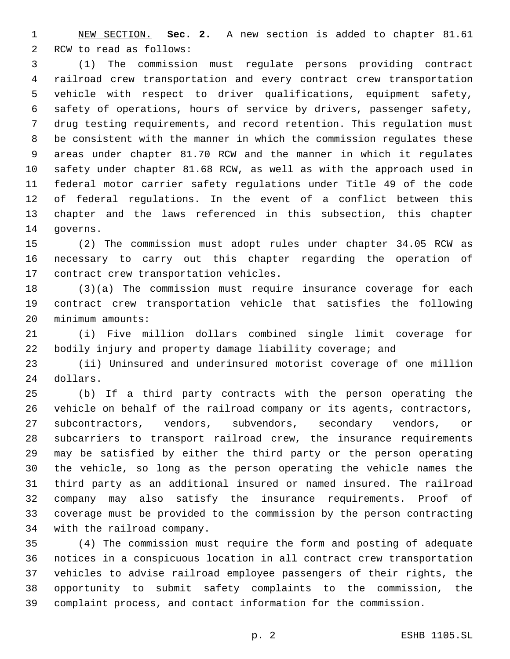NEW SECTION. **Sec. 2.** A new section is added to chapter 81.61 2 RCW to read as follows:

 (1) The commission must regulate persons providing contract railroad crew transportation and every contract crew transportation vehicle with respect to driver qualifications, equipment safety, safety of operations, hours of service by drivers, passenger safety, drug testing requirements, and record retention. This regulation must be consistent with the manner in which the commission regulates these areas under chapter 81.70 RCW and the manner in which it regulates safety under chapter 81.68 RCW, as well as with the approach used in federal motor carrier safety regulations under Title 49 of the code of federal regulations. In the event of a conflict between this chapter and the laws referenced in this subsection, this chapter 14 governs.

 (2) The commission must adopt rules under chapter 34.05 RCW as necessary to carry out this chapter regarding the operation of 17 contract crew transportation vehicles.

 (3)(a) The commission must require insurance coverage for each contract crew transportation vehicle that satisfies the following 20 minimum amounts:

 (i) Five million dollars combined single limit coverage for bodily injury and property damage liability coverage; and

 (ii) Uninsured and underinsured motorist coverage of one million 24 dollars.

 (b) If a third party contracts with the person operating the vehicle on behalf of the railroad company or its agents, contractors, subcontractors, vendors, subvendors, secondary vendors, or subcarriers to transport railroad crew, the insurance requirements may be satisfied by either the third party or the person operating the vehicle, so long as the person operating the vehicle names the third party as an additional insured or named insured. The railroad company may also satisfy the insurance requirements. Proof of coverage must be provided to the commission by the person contracting 34 with the railroad company.

 (4) The commission must require the form and posting of adequate notices in a conspicuous location in all contract crew transportation vehicles to advise railroad employee passengers of their rights, the opportunity to submit safety complaints to the commission, the complaint process, and contact information for the commission.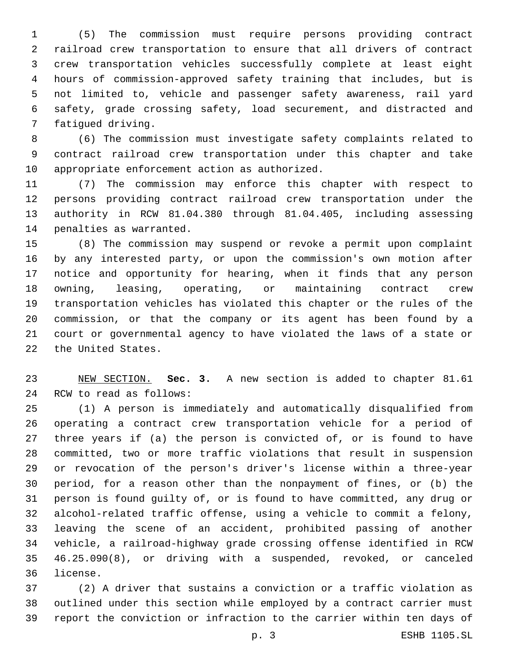(5) The commission must require persons providing contract railroad crew transportation to ensure that all drivers of contract crew transportation vehicles successfully complete at least eight hours of commission-approved safety training that includes, but is not limited to, vehicle and passenger safety awareness, rail yard safety, grade crossing safety, load securement, and distracted and 7 fatiqued driving.

 (6) The commission must investigate safety complaints related to contract railroad crew transportation under this chapter and take 10 appropriate enforcement action as authorized.

 (7) The commission may enforce this chapter with respect to persons providing contract railroad crew transportation under the authority in RCW 81.04.380 through 81.04.405, including assessing 14 penalties as warranted.

 (8) The commission may suspend or revoke a permit upon complaint by any interested party, or upon the commission's own motion after notice and opportunity for hearing, when it finds that any person owning, leasing, operating, or maintaining contract crew transportation vehicles has violated this chapter or the rules of the commission, or that the company or its agent has been found by a court or governmental agency to have violated the laws of a state or 22 the United States.

 NEW SECTION. **Sec. 3.** A new section is added to chapter 81.61 24 RCW to read as follows:

 (1) A person is immediately and automatically disqualified from operating a contract crew transportation vehicle for a period of three years if (a) the person is convicted of, or is found to have committed, two or more traffic violations that result in suspension or revocation of the person's driver's license within a three-year period, for a reason other than the nonpayment of fines, or (b) the person is found guilty of, or is found to have committed, any drug or alcohol-related traffic offense, using a vehicle to commit a felony, leaving the scene of an accident, prohibited passing of another vehicle, a railroad-highway grade crossing offense identified in RCW 46.25.090(8), or driving with a suspended, revoked, or canceled 36 license.

 (2) A driver that sustains a conviction or a traffic violation as outlined under this section while employed by a contract carrier must report the conviction or infraction to the carrier within ten days of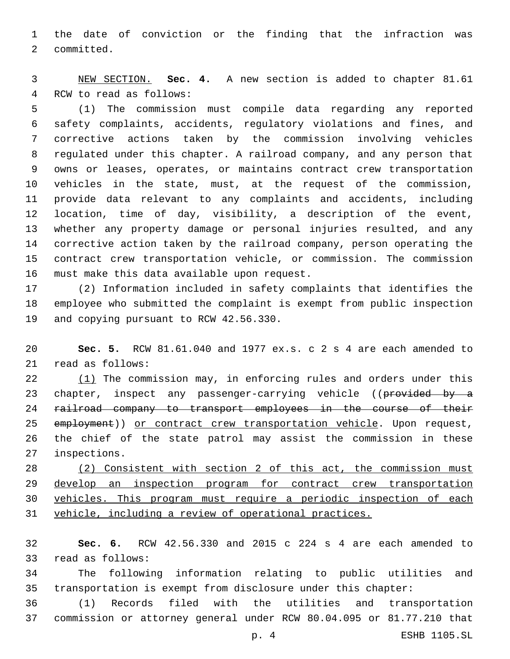the date of conviction or the finding that the infraction was 2 committed.

 NEW SECTION. **Sec. 4.** A new section is added to chapter 81.61 4 RCW to read as follows:

 (1) The commission must compile data regarding any reported safety complaints, accidents, regulatory violations and fines, and corrective actions taken by the commission involving vehicles regulated under this chapter. A railroad company, and any person that owns or leases, operates, or maintains contract crew transportation vehicles in the state, must, at the request of the commission, provide data relevant to any complaints and accidents, including location, time of day, visibility, a description of the event, whether any property damage or personal injuries resulted, and any corrective action taken by the railroad company, person operating the contract crew transportation vehicle, or commission. The commission 16 must make this data available upon request.

 (2) Information included in safety complaints that identifies the employee who submitted the complaint is exempt from public inspection 19 and copying pursuant to RCW 42.56.330.

 **Sec. 5.** RCW 81.61.040 and 1977 ex.s. c 2 s 4 are each amended to 21 read as follows:

22 (1) The commission may, in enforcing rules and orders under this 23 chapter, inspect any passenger-carrying vehicle ((provided by a railroad company to transport employees in the course of their 25 employment)) or contract crew transportation vehicle. Upon request, the chief of the state patrol may assist the commission in these 27 inspections.

 (2) Consistent with section 2 of this act, the commission must develop an inspection program for contract crew transportation vehicles. This program must require a periodic inspection of each vehicle, including a review of operational practices.

 **Sec. 6.** RCW 42.56.330 and 2015 c 224 s 4 are each amended to 33 read as follows:

 The following information relating to public utilities and transportation is exempt from disclosure under this chapter:

 (1) Records filed with the utilities and transportation commission or attorney general under RCW 80.04.095 or 81.77.210 that

p. 4 ESHB 1105.SL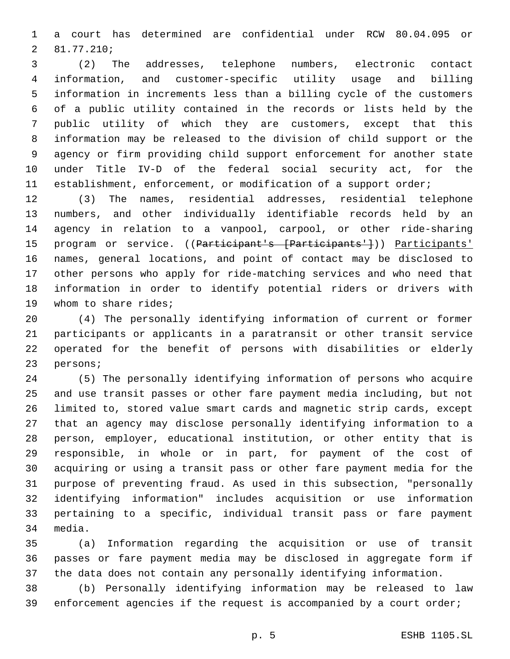a court has determined are confidential under RCW 80.04.095 or 81.77.210;2

 (2) The addresses, telephone numbers, electronic contact information, and customer-specific utility usage and billing information in increments less than a billing cycle of the customers of a public utility contained in the records or lists held by the public utility of which they are customers, except that this information may be released to the division of child support or the agency or firm providing child support enforcement for another state under Title IV-D of the federal social security act, for the establishment, enforcement, or modification of a support order;

 (3) The names, residential addresses, residential telephone numbers, and other individually identifiable records held by an agency in relation to a vanpool, carpool, or other ride-sharing 15 program or service. ((Participant's [Participants'])) Participants' names, general locations, and point of contact may be disclosed to other persons who apply for ride-matching services and who need that information in order to identify potential riders or drivers with 19 whom to share rides;

 (4) The personally identifying information of current or former participants or applicants in a paratransit or other transit service operated for the benefit of persons with disabilities or elderly 23 persons;

 (5) The personally identifying information of persons who acquire and use transit passes or other fare payment media including, but not limited to, stored value smart cards and magnetic strip cards, except that an agency may disclose personally identifying information to a person, employer, educational institution, or other entity that is responsible, in whole or in part, for payment of the cost of acquiring or using a transit pass or other fare payment media for the purpose of preventing fraud. As used in this subsection, "personally identifying information" includes acquisition or use information pertaining to a specific, individual transit pass or fare payment 34 media.

 (a) Information regarding the acquisition or use of transit passes or fare payment media may be disclosed in aggregate form if the data does not contain any personally identifying information.

 (b) Personally identifying information may be released to law enforcement agencies if the request is accompanied by a court order;